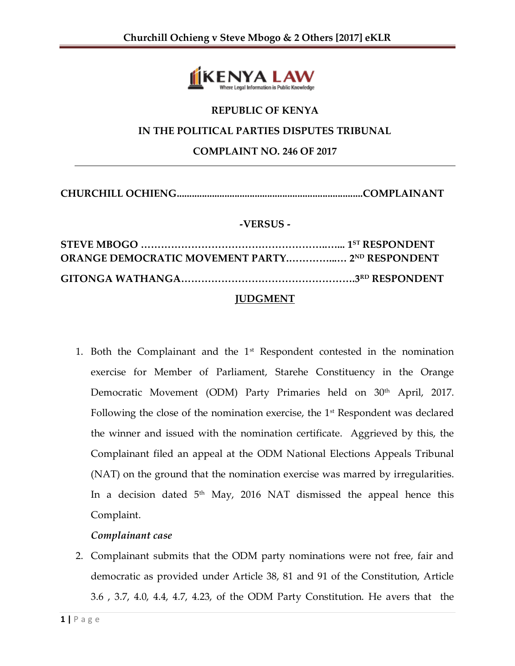

# **REPUBLIC OF KENYA**

#### **IN THE POLITICAL PARTIES DISPUTES TRIBUNAL**

**COMPLAINT NO. 246 OF 2017**

**CHURCHILL OCHIENG..........................................................................COMPLAINANT**

#### **-VERSUS -**

## **JUDGMENT**

1. Both the Complainant and the  $1<sup>st</sup>$  Respondent contested in the nomination exercise for Member of Parliament, Starehe Constituency in the Orange Democratic Movement (ODM) Party Primaries held on 30<sup>th</sup> April, 2017. Following the close of the nomination exercise, the  $1<sup>st</sup>$  Respondent was declared the winner and issued with the nomination certificate. Aggrieved by this, the Complainant filed an appeal at the ODM National Elections Appeals Tribunal (NAT) on the ground that the nomination exercise was marred by irregularities. In a decision dated  $5<sup>th</sup>$  May, 2016 NAT dismissed the appeal hence this Complaint.

### *Complainant case*

2. Complainant submits that the ODM party nominations were not free, fair and democratic as provided under Article 38, 81 and 91 of the Constitution, Article 3.6 , 3.7, 4.0, 4.4, 4.7, 4.23, of the ODM Party Constitution. He avers that the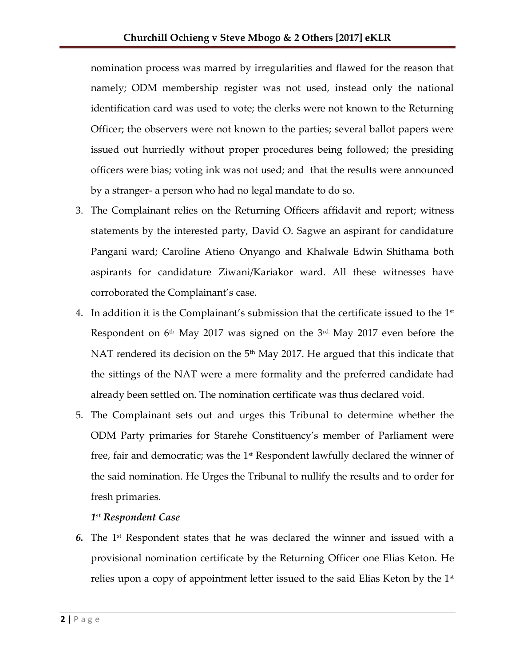nomination process was marred by irregularities and flawed for the reason that namely; ODM membership register was not used, instead only the national identification card was used to vote; the clerks were not known to the Returning Officer; the observers were not known to the parties; several ballot papers were issued out hurriedly without proper procedures being followed; the presiding officers were bias; voting ink was not used; and that the results were announced by a stranger- a person who had no legal mandate to do so.

- 3. The Complainant relies on the Returning Officers affidavit and report; witness statements by the interested party, David O. Sagwe an aspirant for candidature Pangani ward; Caroline Atieno Onyango and Khalwale Edwin Shithama both aspirants for candidature Ziwani/Kariakor ward. All these witnesses have corroborated the Complainant's case.
- 4. In addition it is the Complainant's submission that the certificate issued to the  $1<sup>st</sup>$ Respondent on 6th May 2017 was signed on the 3rd May 2017 even before the NAT rendered its decision on the  $5<sup>th</sup>$  May 2017. He argued that this indicate that the sittings of the NAT were a mere formality and the preferred candidate had already been settled on. The nomination certificate was thus declared void.
- 5. The Complainant sets out and urges this Tribunal to determine whether the ODM Party primaries for Starehe Constituency's member of Parliament were free, fair and democratic; was the  $1<sup>st</sup>$  Respondent lawfully declared the winner of the said nomination. He Urges the Tribunal to nullify the results and to order for fresh primaries.

### *1 st Respondent Case*

**6.** The 1<sup>st</sup> Respondent states that he was declared the winner and issued with a provisional nomination certificate by the Returning Officer one Elias Keton. He relies upon a copy of appointment letter issued to the said Elias Keton by the  $1<sup>st</sup>$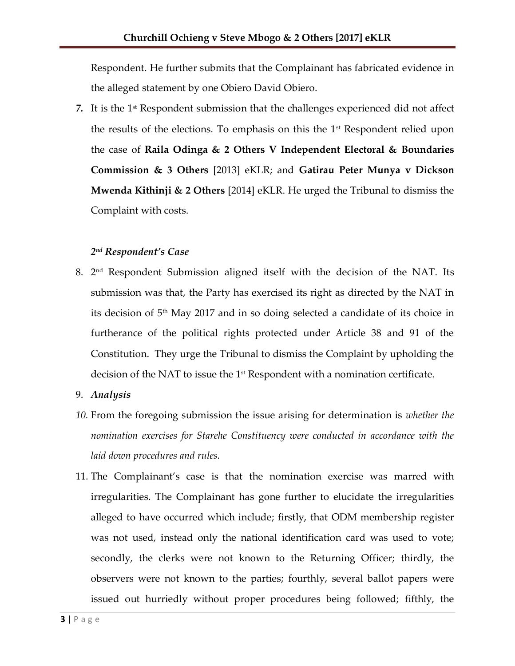Respondent. He further submits that the Complainant has fabricated evidence in the alleged statement by one Obiero David Obiero.

7. It is the 1<sup>st</sup> Respondent submission that the challenges experienced did not affect the results of the elections. To emphasis on this the 1<sup>st</sup> Respondent relied upon the case of **Raila Odinga & 2 Others V Independent Electoral & Boundaries Commission & 3 Others** [2013] eKLR; and **Gatirau Peter Munya v Dickson Mwenda Kithinji & 2 Others** [2014] eKLR. He urged the Tribunal to dismiss the Complaint with costs.

### *2 nd Respondent's Case*

8. 2 nd Respondent Submission aligned itself with the decision of the NAT. Its submission was that, the Party has exercised its right as directed by the NAT in its decision of  $5<sup>th</sup>$  May 2017 and in so doing selected a candidate of its choice in furtherance of the political rights protected under Article 38 and 91 of the Constitution. They urge the Tribunal to dismiss the Complaint by upholding the decision of the NAT to issue the  $1<sup>st</sup>$  Respondent with a nomination certificate.

### 9. *Analysis*

- *10.* From the foregoing submission the issue arising for determination is *whether the nomination exercises for Starehe Constituency were conducted in accordance with the laid down procedures and rules.*
- 11. The Complainant's case is that the nomination exercise was marred with irregularities. The Complainant has gone further to elucidate the irregularities alleged to have occurred which include; firstly, that ODM membership register was not used, instead only the national identification card was used to vote; secondly, the clerks were not known to the Returning Officer; thirdly, the observers were not known to the parties; fourthly, several ballot papers were issued out hurriedly without proper procedures being followed; fifthly, the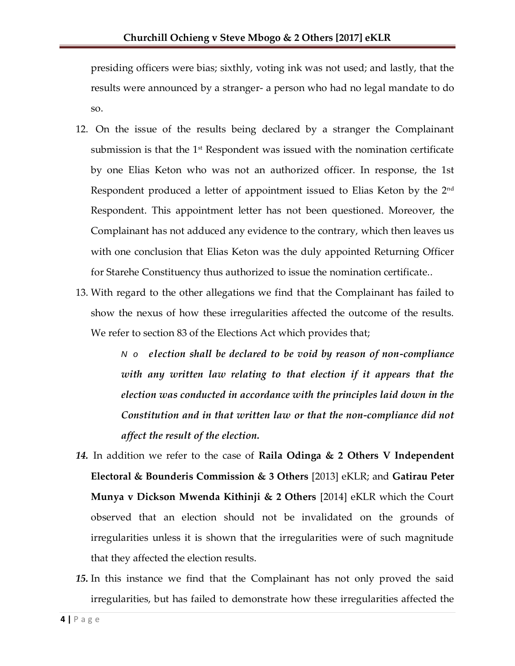presiding officers were bias; sixthly, voting ink was not used; and lastly, that the results were announced by a stranger- a person who had no legal mandate to do so.

- 12. On the issue of the results being declared by a stranger the Complainant submission is that the  $1<sup>st</sup>$  Respondent was issued with the nomination certificate by one Elias Keton who was not an authorized officer. In response, the 1st Respondent produced a letter of appointment issued to Elias Keton by the 2<sup>nd</sup> Respondent. This appointment letter has not been questioned. Moreover, the Complainant has not adduced any evidence to the contrary, which then leaves us with one conclusion that Elias Keton was the duly appointed Returning Officer for Starehe Constituency thus authorized to issue the nomination certificate..
- 13. With regard to the other allegations we find that the Complainant has failed to show the nexus of how these irregularities affected the outcome of the results. We refer to section 83 of the Elections Act which provides that;

*N o election shall be declared to be void by reason of non-compliance with any written law relating to that election if it appears that the election was conducted in accordance with the principles laid down in the Constitution and in that written law or that the non-compliance did not affect the result of the election.*

- *14.* In addition we refer to the case of **Raila Odinga & 2 Others V Independent Electoral & Bounderis Commission & 3 Others** [2013] eKLR; and **Gatirau Peter Munya v Dickson Mwenda Kithinji & 2 Others** [2014] eKLR which the Court observed that an election should not be invalidated on the grounds of irregularities unless it is shown that the irregularities were of such magnitude that they affected the election results.
- *15.* In this instance we find that the Complainant has not only proved the said irregularities, but has failed to demonstrate how these irregularities affected the